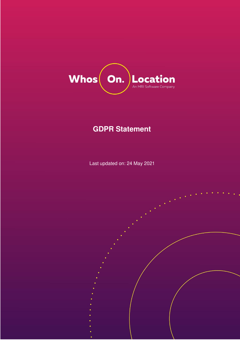

# **GDPR Statement**

Last updated on: 24 May 2021

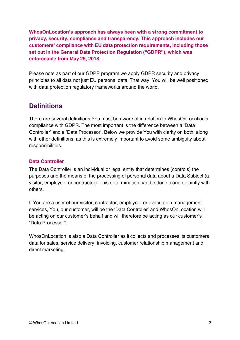**WhosOnLocation's approach has always been with a strong commitment to privacy, security, compliance and transparency. This approach includes our customers' compliance with EU data protection requirements, including those set out in the General Data Protection Regulation ("GDPR"), which was enforceable from May 25, 2018.**

Please note as part of our GDPR program we apply GDPR security and privacy principles to all data not just EU personal data. That way, You will be well positioned with data protection regulatory frameworks around the world.

# **Definitions**

There are several definitions You must be aware of in relation to WhosOnLocation's compliance with GDPR. The most important is the difference between a 'Data Controller' and a 'Data Processor'. Below we provide You with clarity on both, along with other definitions, as this is extremely important to avoid some ambiguity about responsibilities.

# **Data Controller**

The Data Controller is an individual or legal entity that determines (controls) the purposes and the means of the processing of personal data about a Data Subject (a visitor, employee, or contractor). This determination can be done alone or jointly with others.

If You are a user of our visitor, contractor, employee, or evacuation management services, You, our customer, will be the 'Data Controller' and WhosOnLocation will be acting on our customer's behalf and will therefore be acting as our customer's "Data Processor".

WhosOnLocation is also a Data Controller as it collects and processes its customers data for sales, service delivery, invoicing, customer relationship management and direct marketing.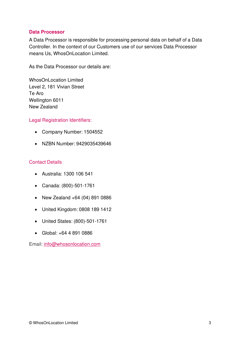#### **Data Processor**

A Data Processor is responsible for processing personal data on behalf of a Data Controller. In the context of our Customers use of our services Data Processor means Us, WhosOnLocation Limited.

As the Data Processor our details are:

WhosOnLocation Limited Level 2, 181 Vivian Street Te Aro Wellington 6011 New Zealand

#### Legal Registration Identifiers:

- Company Number: 1504552
- NZBN Number: 9429035439646

## Contact Details

- Australia: 1300 106 541
- Canada: (800)-501-1761
- New Zealand +64 (04) 891 0886
- United Kingdom: 0808 189 1412
- United States: (800)-501-1761
- Global: +64 4 891 0886

Email: [info@whosonlocation.com](mailto:info@whosonlocation.com)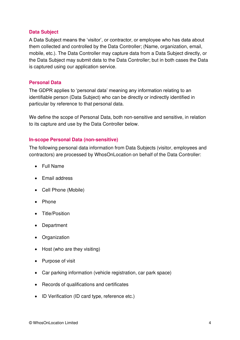#### **Data Subject**

A Data Subject means the 'visitor', or contractor, or employee who has data about them collected and controlled by the Data Controller; (Name, organization, email, mobile, etc.). The Data Controller may capture data from a Data Subject directly, or the Data Subject may submit data to the Data Controller; but in both cases the Data is captured using our application service.

#### **Personal Data**

The GDPR applies to 'personal data' meaning any information relating to an identifiable person (Data Subject) who can be directly or indirectly identified in particular by reference to that personal data.

We define the scope of Personal Data, both non-sensitive and sensitive, in relation to its capture and use by the Data Controller below.

#### **In-scope Personal Data (non-sensitive)**

The following personal data information from Data Subjects (visitor, employees and contractors) are processed by WhosOnLocation on behalf of the Data Controller:

- Full Name
- Email address
- Cell Phone (Mobile)
- Phone
- Title/Position
- Department
- Organization
- Host (who are they visiting)
- Purpose of visit
- Car parking information (vehicle registration, car park space)
- Records of qualifications and certificates
- ID Verification (ID card type, reference etc.)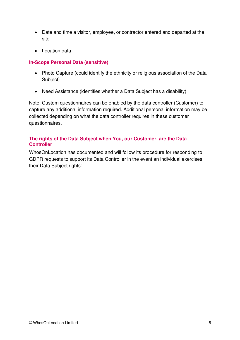- Date and time a visitor, employee, or contractor entered and departed at the site
- Location data

# **In-Scope Personal Data (sensitive)**

- Photo Capture (could identify the ethnicity or religious association of the Data Subject)
- Need Assistance (identifies whether a Data Subject has a disability)

Note: Custom questionnaires can be enabled by the data controller (Customer) to capture any additional information required. Additional personal information may be collected depending on what the data controller requires in these customer questionnaires.

## **The rights of the Data Subject when You, our Customer, are the Data Controller**

WhosOnLocation has documented and will follow its procedure for responding to GDPR requests to support its Data Controller in the event an individual exercises their Data Subject rights: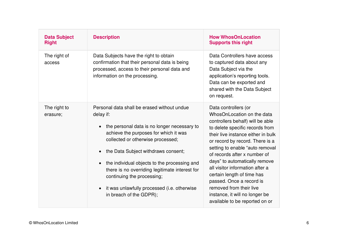| <b>Data Subject</b><br><b>Right</b> | <b>Description</b>                                                                                                                                                                                                                                                                                                                                                                                                                             | <b>How WhosOnLocation</b><br><b>Supports this right</b>                                                                                                                                                                                                                                                                                                                                                                                                                                            |
|-------------------------------------|------------------------------------------------------------------------------------------------------------------------------------------------------------------------------------------------------------------------------------------------------------------------------------------------------------------------------------------------------------------------------------------------------------------------------------------------|----------------------------------------------------------------------------------------------------------------------------------------------------------------------------------------------------------------------------------------------------------------------------------------------------------------------------------------------------------------------------------------------------------------------------------------------------------------------------------------------------|
| The right of<br>access              | Data Subjects have the right to obtain<br>confirmation that their personal data is being<br>processed, access to their personal data and<br>information on the processing.                                                                                                                                                                                                                                                                     | Data Controllers have access<br>to captured data about any<br>Data Subject via the<br>application's reporting tools.<br>Data can be exported and<br>shared with the Data Subject<br>on request.                                                                                                                                                                                                                                                                                                    |
| The right to<br>erasure;            | Personal data shall be erased without undue<br>delay if:<br>the personal data is no longer necessary to<br>achieve the purposes for which it was<br>collected or otherwise processed;<br>the Data Subject withdraws consent;<br>the individual objects to the processing and<br>there is no overriding legitimate interest for<br>continuing the processing;<br>it was unlawfully processed ( <i>i.e.</i> otherwise<br>in breach of the GDPR); | Data controllers (or<br>WhosOnLocation on the data<br>controllers behalf) will be able<br>to delete specific records from<br>their live instance either in bulk<br>or record by record. There is a<br>setting to enable "auto removal<br>of records after x number of<br>days" to automatically remove<br>all visitor information after a<br>certain length of time has<br>passed. Once a record is<br>removed from their live<br>instance, it will no longer be<br>available to be reported on or |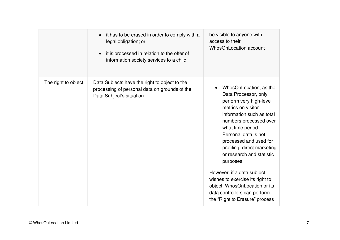|                      | it has to be erased in order to comply with a<br>legal obligation; or<br>it is processed in relation to the offer of<br>information society services to a child | be visible to anyone with<br>access to their<br>WhosOnLocation account                                                                                                                                                                                                                                                                                                                                                                                                     |
|----------------------|-----------------------------------------------------------------------------------------------------------------------------------------------------------------|----------------------------------------------------------------------------------------------------------------------------------------------------------------------------------------------------------------------------------------------------------------------------------------------------------------------------------------------------------------------------------------------------------------------------------------------------------------------------|
| The right to object; | Data Subjects have the right to object to the<br>processing of personal data on grounds of the<br>Data Subject's situation.                                     | WhosOnLocation, as the<br>Data Processor, only<br>perform very high-level<br>metrics on visitor<br>information such as total<br>numbers processed over<br>what time period.<br>Personal data is not<br>processed and used for<br>profiling, direct marketing<br>or research and statistic<br>purposes.<br>However, if a data subject<br>wishes to exercise its right to<br>object, WhosOnLocation or its<br>data controllers can perform<br>the "Right to Erasure" process |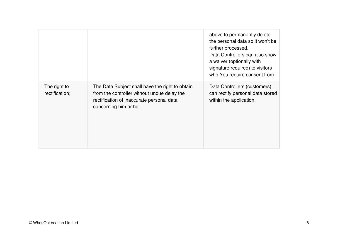|                                |                                                                                                                                                                       | above to permanently delete<br>the personal data so it won't be<br>further processed.<br>Data Controllers can also show<br>a waiver (optionally with<br>signature required) to visitors<br>who You require consent from. |
|--------------------------------|-----------------------------------------------------------------------------------------------------------------------------------------------------------------------|--------------------------------------------------------------------------------------------------------------------------------------------------------------------------------------------------------------------------|
| The right to<br>rectification; | The Data Subject shall have the right to obtain<br>from the controller without undue delay the<br>rectification of inaccurate personal data<br>concerning him or her. | Data Controllers (customers)<br>can rectify personal data stored<br>within the application.                                                                                                                              |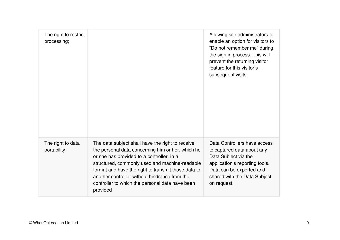| The right to restrict<br>processing; |                                                                                                                                                                                                                                                                                                                                                                             | Allowing site administrators to<br>enable an option for visitors to<br>"Do not remember me" during<br>the sign in process. This will<br>prevent the returning visitor<br>feature for this visitor's<br>subsequent visits. |
|--------------------------------------|-----------------------------------------------------------------------------------------------------------------------------------------------------------------------------------------------------------------------------------------------------------------------------------------------------------------------------------------------------------------------------|---------------------------------------------------------------------------------------------------------------------------------------------------------------------------------------------------------------------------|
| The right to data<br>portability;    | The data subject shall have the right to receive<br>the personal data concerning him or her, which he<br>or she has provided to a controller, in a<br>structured, commonly used and machine-readable<br>format and have the right to transmit those data to<br>another controller without hindrance from the<br>controller to which the personal data have been<br>provided | Data Controllers have access<br>to captured data about any<br>Data Subject via the<br>application's reporting tools.<br>Data can be exported and<br>shared with the Data Subject<br>on request.                           |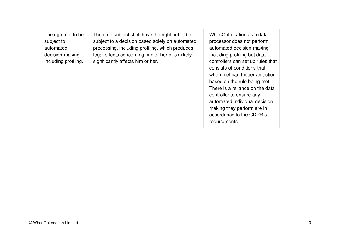| The right not to be<br>subject to<br>automated<br>decision-making<br>including profiling. | The data subject shall have the right not to be<br>subject to a decision based solely on automated<br>processing, including profiling, which produces<br>legal effects concerning him or her or similarly<br>significantly affects him or her. | WhosOnLocation as a data<br>processor does not perform<br>automated decision-making<br>including profiling but data<br>controllers can set up rules that<br>consists of conditions that<br>when met can trigger an action<br>based on the rule being met.<br>There is a reliance on the data<br>controller to ensure any<br>automated individual decision<br>making they perform are in<br>accordance to the GDPR's<br>requirements |
|-------------------------------------------------------------------------------------------|------------------------------------------------------------------------------------------------------------------------------------------------------------------------------------------------------------------------------------------------|-------------------------------------------------------------------------------------------------------------------------------------------------------------------------------------------------------------------------------------------------------------------------------------------------------------------------------------------------------------------------------------------------------------------------------------|
|-------------------------------------------------------------------------------------------|------------------------------------------------------------------------------------------------------------------------------------------------------------------------------------------------------------------------------------------------|-------------------------------------------------------------------------------------------------------------------------------------------------------------------------------------------------------------------------------------------------------------------------------------------------------------------------------------------------------------------------------------------------------------------------------------|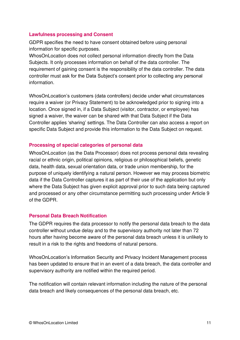#### **Lawfulness processing and Consent**

GDPR specifies the need to have consent obtained before using personal information for specific purposes.

WhosOnLocation does not collect personal information directly from the Data Subjects. It only processes information on behalf of the data controller. The requirement of gaining consent is the responsibility of the data controller. The data controller must ask for the Data Subject's consent prior to collecting any personal information.

WhosOnLocation's customers (data controllers) decide under what circumstances require a waiver (or Privacy Statement) to be acknowledged prior to signing into a location. Once signed in, if a Data Subject (visitor, contractor, or employee) has signed a waiver, the waiver can be shared with that Data Subject if the Data Controller applies 'sharing' settings. The Data Controller can also access a report on specific Data Subject and provide this information to the Data Subject on request.

## **Processing of special categories of personal data**

WhosOnLocation (as the Data Processor) does not process personal data revealing racial or ethnic origin, political opinions, religious or philosophical beliefs, genetic data, health data, sexual orientation data, or trade union membership, for the purpose of uniquely identifying a natural person. However we may process biometric data if the Data Controller captures it as part of their use of the application but only where the Data Subject has given explicit approval prior to such data being captured and processed or any other circumstance permitting such processing under Article 9 of the GDPR.

## **Personal Data Breach Notification**

The GDPR requires the data processor to notify the personal data breach to the data controller without undue delay and to the supervisory authority not later than 72 hours after having become aware of the personal data breach unless it is unlikely to result in a risk to the rights and freedoms of natural persons.

WhosOnLocation's Information Security and Privacy Incident Management process has been updated to ensure that in an event of a data breach, the data controller and supervisory authority are notified within the required period.

The notification will contain relevant information including the nature of the personal data breach and likely consequences of the personal data breach, etc.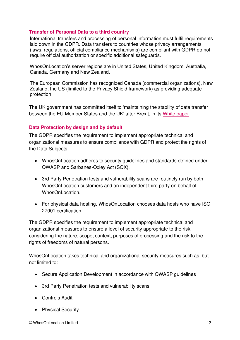# **Transfer of Personal Data to a third country**

International transfers and processing of personal information must fulfil requirements laid down in the GDPR. Data transfers to countries whose privacy arrangements (laws, regulations, official compliance mechanisms) are compliant with GDPR do not require official authorization or specific additional safeguards.

WhosOnLocation's server regions are in United States, United Kingdom, Australia, Canada, Germany and New Zealand.

The European Commission has recognized Canada (commercial organizations), New Zealand, the US (limited to the Privacy Shield framework) as providing adequate protection.

The UK government has committed itself to 'maintaining the stability of data transfer between the EU Member States and the UK' after Brexit, in its [White paper.](https://assets.publishing.service.gov.uk/government/uploads/system/uploads/attachment_data/file/589189/The_United_Kingdoms_exit_from_and_partnership_with_the_EU_Print.pdf)

## **Data Protection by design and by default**

The GDPR specifies the requirement to implement appropriate technical and organizational measures to ensure compliance with GDPR and protect the rights of the Data Subjects.

- WhosOnLocation adheres to security guidelines and standards defined under OWASP and Sarbanes-Oxley Act (SOX).
- 3rd Party Penetration tests and vulnerability scans are routinely run by both WhosOnLocation customers and an independent third party on behalf of WhosOnLocation.
- For physical data hosting, WhosOnLocation chooses data hosts who have ISO 27001 certification.

The GDPR specifies the requirement to implement appropriate technical and organizational measures to ensure a level of security appropriate to the risk, considering the nature, scope, context, purposes of processing and the risk to the rights of freedoms of natural persons.

WhosOnLocation takes technical and organizational security measures such as, but not limited to:

- Secure Application Development in accordance with OWASP guidelines
- 3rd Party Penetration tests and vulnerability scans
- Controls Audit
- Physical Security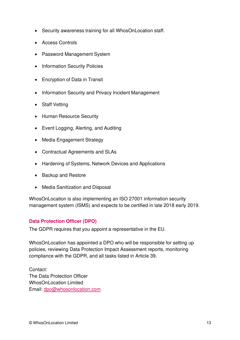- Security awareness training for all WhosOnLocation staff.
- Access Controls
- Password Management System
- Information Security Policies
- Encryption of Data in Transit
- Information Security and Privacy Incident Management
- Staff Vetting
- Human Resource Security
- Event Logging, Alerting, and Auditing
- Media Engagement Strategy
- Contractual Agreements and SLAs
- Hardening of Systems, Network Devices and Applications
- Backup and Restore
- Media Sanitization and Disposal

WhosOnLocation is also implementing an ISO 27001 information security management system (ISMS) and expects to be certified in late 2018 early 2019.

## **Data Protection Officer (DPO)**

The GDPR requires that you appoint a representative in the EU.

WhosOnLocation has appointed a DPO who will be responsible for setting up policies, reviewing Data Protection Impact Assessment reports, monitoring compliance with the GDPR, and all tasks listed in Article 39.

Contact: The Data Protection Officer WhosOnLocation Limited Email: [dpo@whosonlocation.com](mailto:dpo@whosonlocation.com)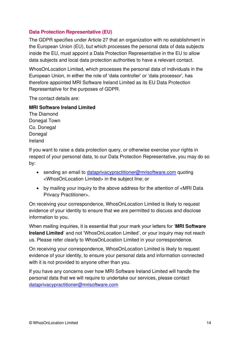# **Data Protection Representative (EU)**

The GDPR specifies under Article 27 that an organization with no establishment in the European Union (EU), but which processes the personal data of data subjects inside the EU, must appoint a Data Protection Representative in the EU to allow data subjects and local data protection authorities to have a relevant contact.

WhosOnLocation Limited, which processes the personal data of individuals in the European Union, in either the role of 'data controller' or 'data processor', has therefore appointed MRI Software Ireland Limited as its EU Data Protection Representative for the purposes of GDPR.

The contact details are:

#### **MRI Software Ireland Limited**

The Diamond Donegal Town Co. Donegal **Donegal** Ireland

If you want to raise a data protection query, or otherwise exercise your rights in respect of your personal data, to our Data Protection Representative, you may do so by:

- sending an email to [dataprivacypractitioner@mrisoftware.com](mailto:dataprivacypractitioner@mrisoftware.com) quoting <WhosOnLocation Limited> in the subject line; or
- by mailing your inquiry to the above address for the attention of <MRI Data Privacy Practitioner>.

On receiving your correspondence, WhosOnLocation Limited is likely to request evidence of your identity to ensure that we are permitted to discuss and disclose information to you.

When mailing inquiries, it is essential that your mark your letters for '**MRI Software Ireland Limited**' and not 'WhosOnLocation Limited', or your inquiry may not reach us. Please refer clearly to WhosOnLocation Limited in your correspondence.

On receiving your correspondence, WhosOnLocation Limited is likely to request evidence of your identity, to ensure your personal data and information connected with it is not provided to anyone other than you.

If you have any concerns over how MRI Software Ireland Limited will handle the personal data that we will require to undertake our services, please contact [dataprivacypractitioner@mrisoftware.com](mailto:dataprivacypractitioner@mrisoftware.com)